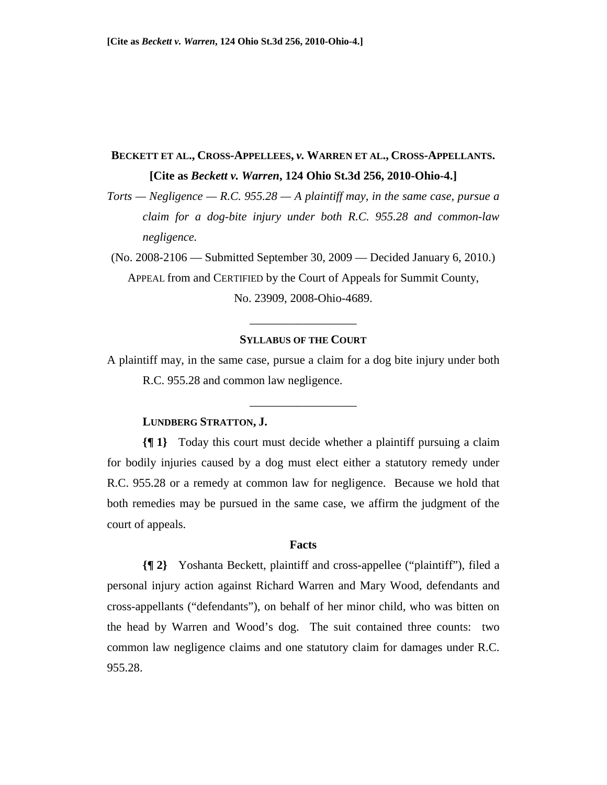# **BECKETT ET AL., CROSS-APPELLEES,** *v.* **WARREN ET AL., CROSS-APPELLANTS. [Cite as** *Beckett v. Warren***, 124 Ohio St.3d 256, 2010-Ohio-4.]**

*Torts — Negligence — R.C. 955.28 — A plaintiff may, in the same case, pursue a claim for a dog-bite injury under both R.C. 955.28 and common-law negligence.* 

(No. 2008-2106 — Submitted September 30, 2009 — Decided January 6, 2010.) APPEAL from and CERTIFIED by the Court of Appeals for Summit County, No. 23909, 2008-Ohio-4689.

## **SYLLABUS OF THE COURT**

\_\_\_\_\_\_\_\_\_\_\_\_\_\_\_\_\_\_

A plaintiff may, in the same case, pursue a claim for a dog bite injury under both R.C. 955.28 and common law negligence.

\_\_\_\_\_\_\_\_\_\_\_\_\_\_\_\_\_\_

## **LUNDBERG STRATTON, J.**

**{¶ 1}** Today this court must decide whether a plaintiff pursuing a claim for bodily injuries caused by a dog must elect either a statutory remedy under R.C. 955.28 or a remedy at common law for negligence. Because we hold that both remedies may be pursued in the same case, we affirm the judgment of the court of appeals.

## **Facts**

**{¶ 2}** Yoshanta Beckett, plaintiff and cross-appellee ("plaintiff"), filed a personal injury action against Richard Warren and Mary Wood, defendants and cross-appellants ("defendants"), on behalf of her minor child, who was bitten on the head by Warren and Wood's dog. The suit contained three counts: two common law negligence claims and one statutory claim for damages under R.C. 955.28.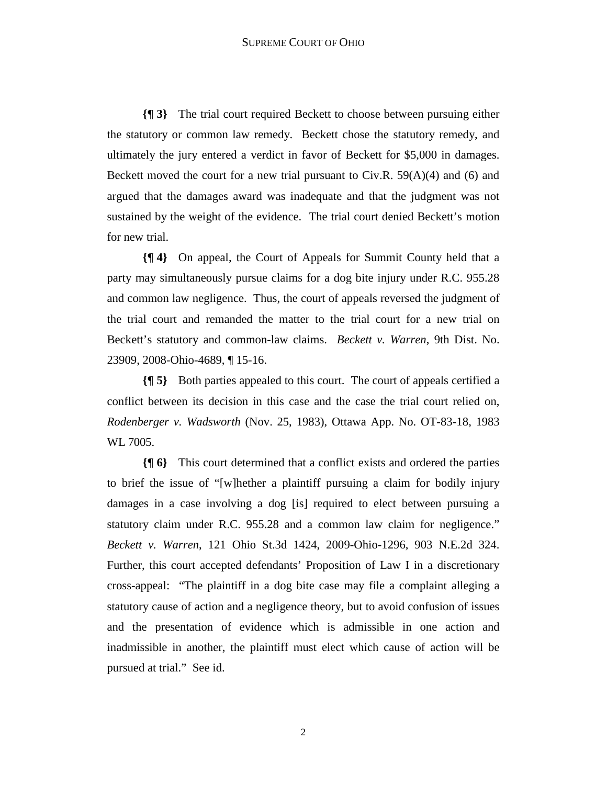**{¶ 3}** The trial court required Beckett to choose between pursuing either the statutory or common law remedy. Beckett chose the statutory remedy, and ultimately the jury entered a verdict in favor of Beckett for \$5,000 in damages. Beckett moved the court for a new trial pursuant to  $Civ.R. 59(A)(4)$  and (6) and argued that the damages award was inadequate and that the judgment was not sustained by the weight of the evidence. The trial court denied Beckett's motion for new trial.

**{¶ 4}** On appeal, the Court of Appeals for Summit County held that a party may simultaneously pursue claims for a dog bite injury under R.C. 955.28 and common law negligence. Thus, the court of appeals reversed the judgment of the trial court and remanded the matter to the trial court for a new trial on Beckett's statutory and common-law claims. *Beckett v. Warren*, 9th Dist. No. 23909, 2008-Ohio-4689, ¶ 15-16.

**{¶ 5}** Both parties appealed to this court. The court of appeals certified a conflict between its decision in this case and the case the trial court relied on, *Rodenberger v. Wadsworth* (Nov. 25, 1983), Ottawa App. No. OT-83-18, 1983 WL 7005.

**{¶ 6}** This court determined that a conflict exists and ordered the parties to brief the issue of "[w]hether a plaintiff pursuing a claim for bodily injury damages in a case involving a dog [is] required to elect between pursuing a statutory claim under R.C. 955.28 and a common law claim for negligence." *Beckett v. Warren*, 121 Ohio St.3d 1424, 2009-Ohio-1296, 903 N.E.2d 324. Further, this court accepted defendants' Proposition of Law I in a discretionary cross-appeal: "The plaintiff in a dog bite case may file a complaint alleging a statutory cause of action and a negligence theory, but to avoid confusion of issues and the presentation of evidence which is admissible in one action and inadmissible in another, the plaintiff must elect which cause of action will be pursued at trial." See id.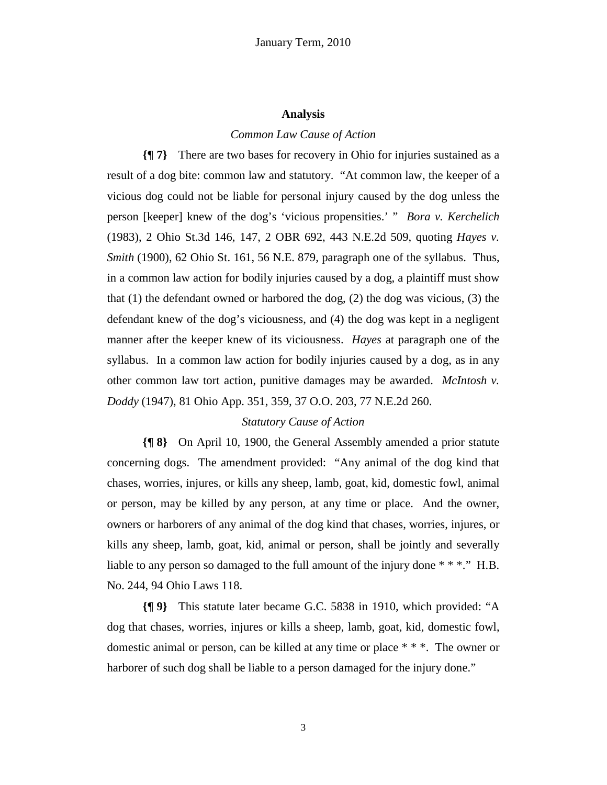## **Analysis**

#### *Common Law Cause of Action*

**{¶ 7}** There are two bases for recovery in Ohio for injuries sustained as a result of a dog bite: common law and statutory. "At common law, the keeper of a vicious dog could not be liable for personal injury caused by the dog unless the person [keeper] knew of the dog's 'vicious propensities.' " *Bora v. Kerchelich* (1983), 2 Ohio St.3d 146, 147, 2 OBR 692, 443 N.E.2d 509, quoting *Hayes v. Smith* (1900), 62 Ohio St. 161, 56 N.E. 879, paragraph one of the syllabus. Thus, in a common law action for bodily injuries caused by a dog, a plaintiff must show that (1) the defendant owned or harbored the dog, (2) the dog was vicious, (3) the defendant knew of the dog's viciousness, and (4) the dog was kept in a negligent manner after the keeper knew of its viciousness. *Hayes* at paragraph one of the syllabus. In a common law action for bodily injuries caused by a dog, as in any other common law tort action, punitive damages may be awarded. *McIntosh v. Doddy* (1947), 81 Ohio App. 351, 359, 37 O.O. 203, 77 N.E.2d 260.

## *Statutory Cause of Action*

**{¶ 8}** On April 10, 1900, the General Assembly amended a prior statute concerning dogs. The amendment provided: "Any animal of the dog kind that chases, worries, injures, or kills any sheep, lamb, goat, kid, domestic fowl, animal or person, may be killed by any person, at any time or place. And the owner, owners or harborers of any animal of the dog kind that chases, worries, injures, or kills any sheep, lamb, goat, kid, animal or person, shall be jointly and severally liable to any person so damaged to the full amount of the injury done \* \* \*." H.B. No. 244, 94 Ohio Laws 118.

**{¶ 9}** This statute later became G.C. 5838 in 1910, which provided: "A dog that chases, worries, injures or kills a sheep, lamb, goat, kid, domestic fowl, domestic animal or person, can be killed at any time or place \* \* \*. The owner or harborer of such dog shall be liable to a person damaged for the injury done."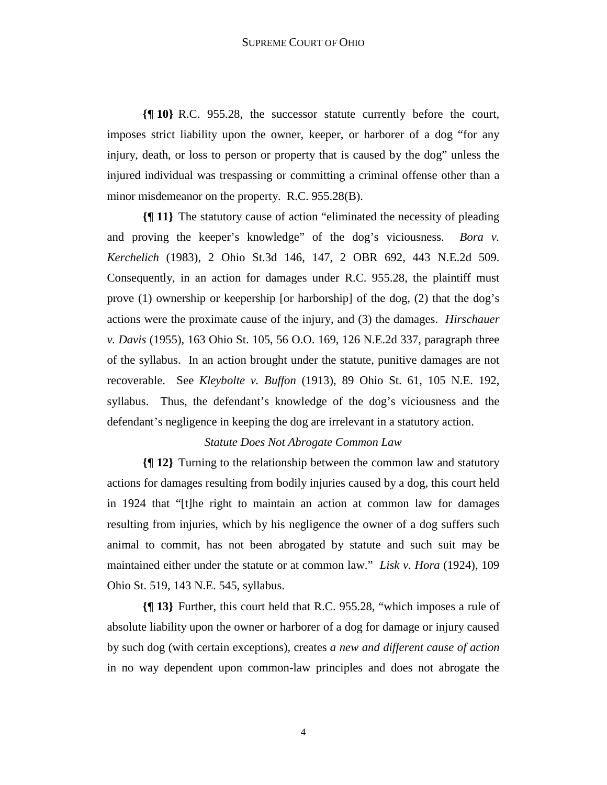**{¶ 10}** R.C. 955.28, the successor statute currently before the court, imposes strict liability upon the owner, keeper, or harborer of a dog "for any injury, death, or loss to person or property that is caused by the dog" unless the injured individual was trespassing or committing a criminal offense other than a minor misdemeanor on the property. R.C. 955.28(B).

**{¶ 11}** The statutory cause of action "eliminated the necessity of pleading and proving the keeper's knowledge" of the dog's viciousness. *Bora v. Kerchelich* (1983), 2 Ohio St.3d 146, 147, 2 OBR 692, 443 N.E.2d 509. Consequently, in an action for damages under R.C. 955.28, the plaintiff must prove (1) ownership or keepership [or harborship] of the dog, (2) that the dog's actions were the proximate cause of the injury, and (3) the damages. *Hirschauer v. Davis* (1955), 163 Ohio St. 105, 56 O.O. 169, 126 N.E.2d 337, paragraph three of the syllabus. In an action brought under the statute, punitive damages are not recoverable. See *Kleybolte v. Buffon* (1913), 89 Ohio St. 61, 105 N.E. 192, syllabus. Thus, the defendant's knowledge of the dog's viciousness and the defendant's negligence in keeping the dog are irrelevant in a statutory action.

## *Statute Does Not Abrogate Common Law*

**{¶ 12}** Turning to the relationship between the common law and statutory actions for damages resulting from bodily injuries caused by a dog, this court held in 1924 that "[t]he right to maintain an action at common law for damages resulting from injuries, which by his negligence the owner of a dog suffers such animal to commit, has not been abrogated by statute and such suit may be maintained either under the statute or at common law." *Lisk v. Hora* (1924), 109 Ohio St. 519, 143 N.E. 545, syllabus.

**{¶ 13}** Further, this court held that R.C. 955.28, "which imposes a rule of absolute liability upon the owner or harborer of a dog for damage or injury caused by such dog (with certain exceptions), creates *a new and different cause of action* in no way dependent upon common-law principles and does not abrogate the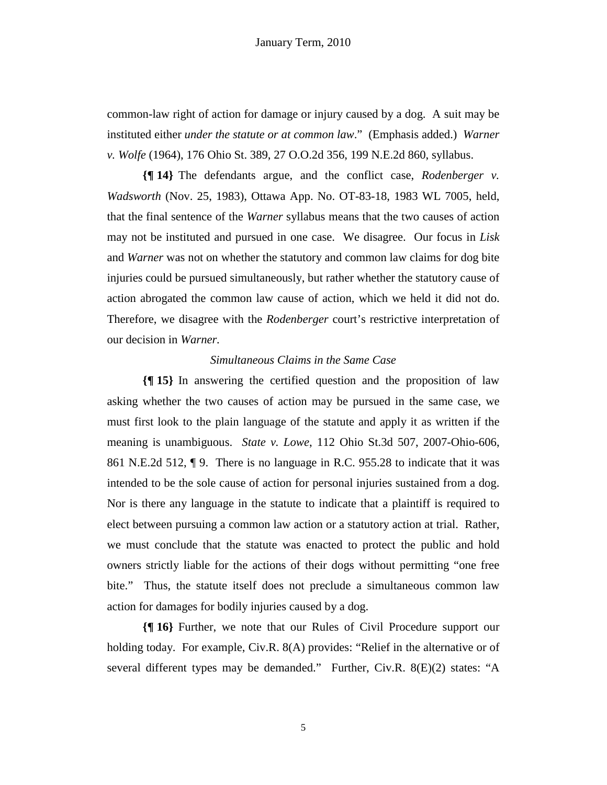common-law right of action for damage or injury caused by a dog. A suit may be instituted either *under the statute or at common law*." (Emphasis added.) *Warner v. Wolfe* (1964), 176 Ohio St. 389, 27 O.O.2d 356, 199 N.E.2d 860, syllabus.

**{¶ 14}** The defendants argue, and the conflict case, *Rodenberger v. Wadsworth* (Nov. 25, 1983), Ottawa App. No. OT-83-18, 1983 WL 7005, held, that the final sentence of the *Warner* syllabus means that the two causes of action may not be instituted and pursued in one case. We disagree. Our focus in *Lisk*  and *Warner* was not on whether the statutory and common law claims for dog bite injuries could be pursued simultaneously, but rather whether the statutory cause of action abrogated the common law cause of action, which we held it did not do. Therefore, we disagree with the *Rodenberger* court's restrictive interpretation of our decision in *Warner.* 

# *Simultaneous Claims in the Same Case*

**{¶ 15}** In answering the certified question and the proposition of law asking whether the two causes of action may be pursued in the same case, we must first look to the plain language of the statute and apply it as written if the meaning is unambiguous. *State v. Lowe*, 112 Ohio St.3d 507, 2007-Ohio-606, 861 N.E.2d 512, ¶ 9. There is no language in R.C. 955.28 to indicate that it was intended to be the sole cause of action for personal injuries sustained from a dog. Nor is there any language in the statute to indicate that a plaintiff is required to elect between pursuing a common law action or a statutory action at trial. Rather, we must conclude that the statute was enacted to protect the public and hold owners strictly liable for the actions of their dogs without permitting "one free bite." Thus, the statute itself does not preclude a simultaneous common law action for damages for bodily injuries caused by a dog.

**{¶ 16}** Further, we note that our Rules of Civil Procedure support our holding today. For example, Civ.R. 8(A) provides: "Relief in the alternative or of several different types may be demanded." Further, Civ.R. 8(E)(2) states: "A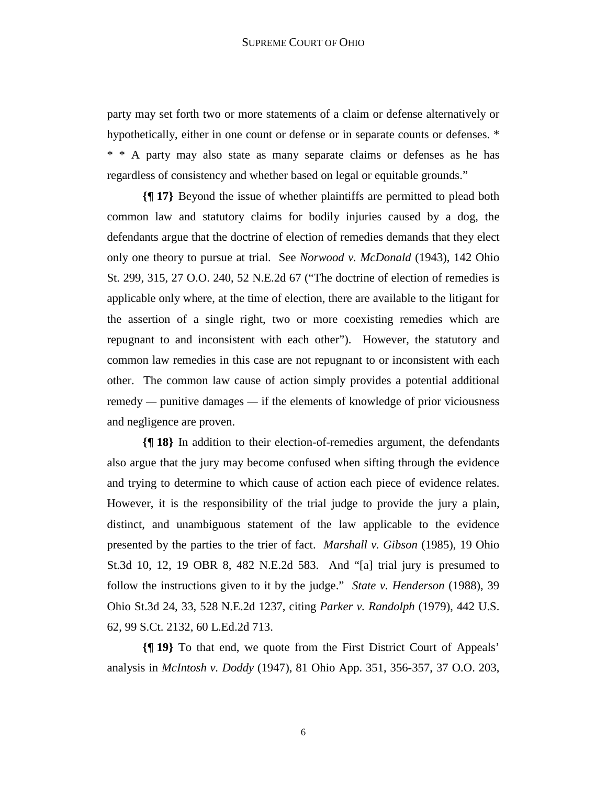party may set forth two or more statements of a claim or defense alternatively or hypothetically, either in one count or defense or in separate counts or defenses. \* \* \* A party may also state as many separate claims or defenses as he has regardless of consistency and whether based on legal or equitable grounds."

**{¶ 17}** Beyond the issue of whether plaintiffs are permitted to plead both common law and statutory claims for bodily injuries caused by a dog, the defendants argue that the doctrine of election of remedies demands that they elect only one theory to pursue at trial. See *Norwood v. McDonald* (1943), 142 Ohio St. 299, 315, 27 O.O. 240, 52 N.E.2d 67 ("The doctrine of election of remedies is applicable only where, at the time of election, there are available to the litigant for the assertion of a single right, two or more coexisting remedies which are repugnant to and inconsistent with each other"). However, the statutory and common law remedies in this case are not repugnant to or inconsistent with each other. The common law cause of action simply provides a potential additional remedy *—* punitive damages *—* if the elements of knowledge of prior viciousness and negligence are proven.

**{¶ 18}** In addition to their election-of-remedies argument, the defendants also argue that the jury may become confused when sifting through the evidence and trying to determine to which cause of action each piece of evidence relates. However, it is the responsibility of the trial judge to provide the jury a plain, distinct, and unambiguous statement of the law applicable to the evidence presented by the parties to the trier of fact. *Marshall v. Gibson* (1985), 19 Ohio St.3d 10, 12, 19 OBR 8, 482 N.E.2d 583. And "[a] trial jury is presumed to follow the instructions given to it by the judge." *State v. Henderson* (1988), 39 Ohio St.3d 24, 33, 528 N.E.2d 1237, citing *Parker v. Randolph* (1979), 442 U.S. 62, 99 S.Ct. 2132, 60 L.Ed.2d 713.

**{¶ 19}** To that end, we quote from the First District Court of Appeals' analysis in *McIntosh v. Doddy* (1947), 81 Ohio App. 351, 356-357, 37 O.O. 203,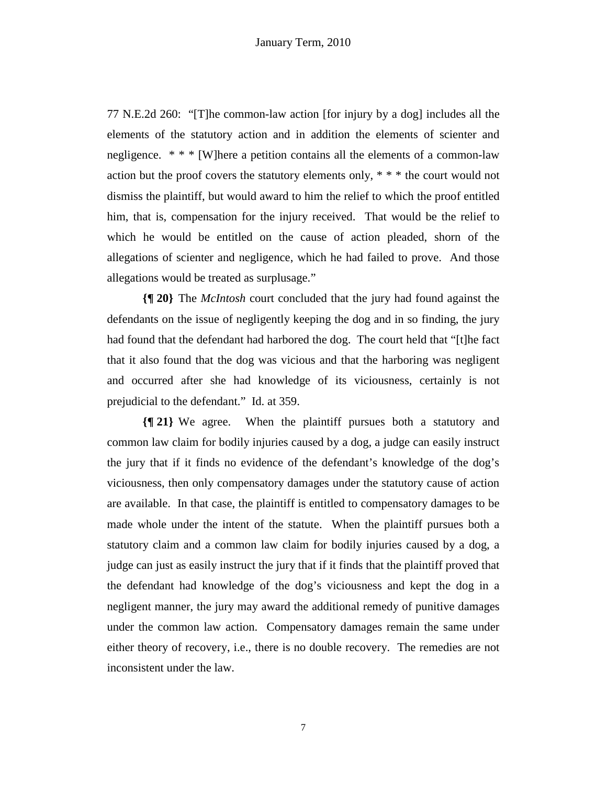77 N.E.2d 260: "[T]he common-law action [for injury by a dog] includes all the elements of the statutory action and in addition the elements of scienter and negligence. \* \* \* [W]here a petition contains all the elements of a common-law action but the proof covers the statutory elements only, \* \* \* the court would not dismiss the plaintiff, but would award to him the relief to which the proof entitled him, that is, compensation for the injury received. That would be the relief to which he would be entitled on the cause of action pleaded, shorn of the allegations of scienter and negligence, which he had failed to prove. And those allegations would be treated as surplusage."

**{¶ 20}** The *McIntosh* court concluded that the jury had found against the defendants on the issue of negligently keeping the dog and in so finding, the jury had found that the defendant had harbored the dog. The court held that "[t]he fact that it also found that the dog was vicious and that the harboring was negligent and occurred after she had knowledge of its viciousness, certainly is not prejudicial to the defendant." Id. at 359.

**{¶ 21}** We agree. When the plaintiff pursues both a statutory and common law claim for bodily injuries caused by a dog, a judge can easily instruct the jury that if it finds no evidence of the defendant's knowledge of the dog's viciousness, then only compensatory damages under the statutory cause of action are available. In that case, the plaintiff is entitled to compensatory damages to be made whole under the intent of the statute. When the plaintiff pursues both a statutory claim and a common law claim for bodily injuries caused by a dog, a judge can just as easily instruct the jury that if it finds that the plaintiff proved that the defendant had knowledge of the dog's viciousness and kept the dog in a negligent manner, the jury may award the additional remedy of punitive damages under the common law action. Compensatory damages remain the same under either theory of recovery, i.e., there is no double recovery. The remedies are not inconsistent under the law.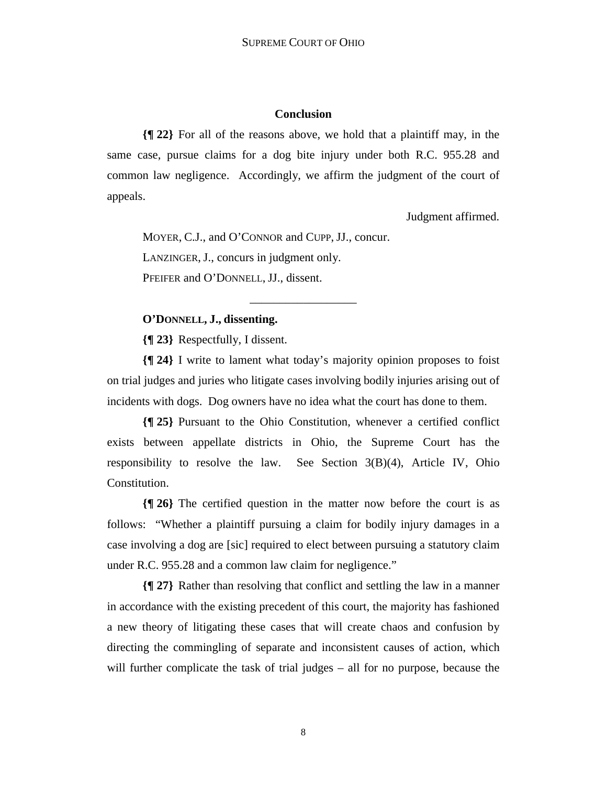## **Conclusion**

**{¶ 22}** For all of the reasons above, we hold that a plaintiff may, in the same case, pursue claims for a dog bite injury under both R.C. 955.28 and common law negligence. Accordingly, we affirm the judgment of the court of appeals.

Judgment affirmed.

 MOYER, C.J., and O'CONNOR and CUPP, JJ., concur. LANZINGER, J., concurs in judgment only. PFEIFER and O'DONNELL, JJ., dissent.

# **O'DONNELL, J., dissenting.**

**{¶ 23}** Respectfully, I dissent.

**{¶ 24}** I write to lament what today's majority opinion proposes to foist on trial judges and juries who litigate cases involving bodily injuries arising out of incidents with dogs. Dog owners have no idea what the court has done to them.

\_\_\_\_\_\_\_\_\_\_\_\_\_\_\_\_\_\_

**{¶ 25}** Pursuant to the Ohio Constitution, whenever a certified conflict exists between appellate districts in Ohio, the Supreme Court has the responsibility to resolve the law. See Section 3(B)(4), Article IV, Ohio Constitution.

**{¶ 26}** The certified question in the matter now before the court is as follows: "Whether a plaintiff pursuing a claim for bodily injury damages in a case involving a dog are [sic] required to elect between pursuing a statutory claim under R.C. 955.28 and a common law claim for negligence."

**{¶ 27}** Rather than resolving that conflict and settling the law in a manner in accordance with the existing precedent of this court, the majority has fashioned a new theory of litigating these cases that will create chaos and confusion by directing the commingling of separate and inconsistent causes of action, which will further complicate the task of trial judges – all for no purpose, because the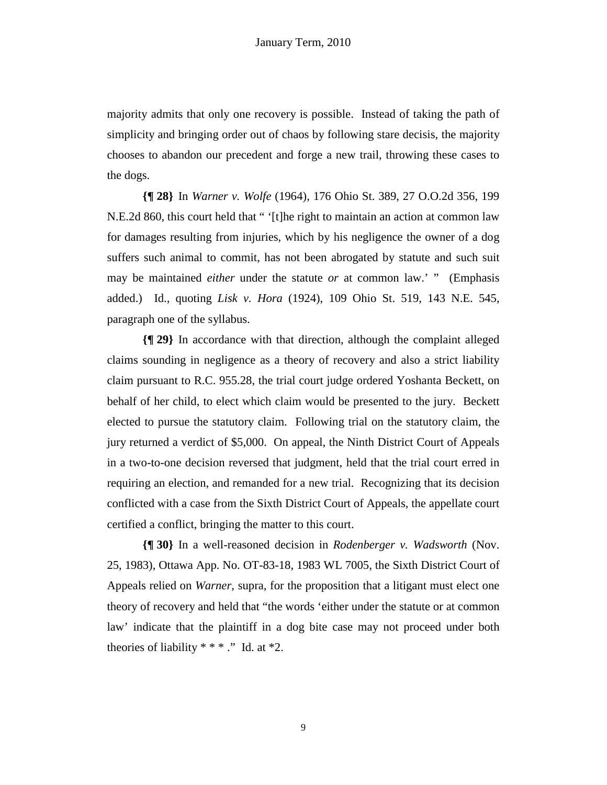majority admits that only one recovery is possible. Instead of taking the path of simplicity and bringing order out of chaos by following stare decisis, the majority chooses to abandon our precedent and forge a new trail, throwing these cases to the dogs.

**{¶ 28}** In *Warner v. Wolfe* (1964), 176 Ohio St. 389, 27 O.O.2d 356, 199 N.E.2d 860, this court held that " '[t]he right to maintain an action at common law for damages resulting from injuries, which by his negligence the owner of a dog suffers such animal to commit, has not been abrogated by statute and such suit may be maintained *either* under the statute *or* at common law.' " (Emphasis added.) Id., quoting *Lisk v. Hora* (1924), 109 Ohio St. 519, 143 N.E. 545, paragraph one of the syllabus.

**{¶ 29}** In accordance with that direction, although the complaint alleged claims sounding in negligence as a theory of recovery and also a strict liability claim pursuant to R.C. 955.28, the trial court judge ordered Yoshanta Beckett, on behalf of her child, to elect which claim would be presented to the jury. Beckett elected to pursue the statutory claim. Following trial on the statutory claim, the jury returned a verdict of \$5,000. On appeal, the Ninth District Court of Appeals in a two-to-one decision reversed that judgment, held that the trial court erred in requiring an election, and remanded for a new trial. Recognizing that its decision conflicted with a case from the Sixth District Court of Appeals, the appellate court certified a conflict, bringing the matter to this court.

**{¶ 30}** In a well-reasoned decision in *Rodenberger v. Wadsworth* (Nov. 25, 1983), Ottawa App. No. OT-83-18, 1983 WL 7005, the Sixth District Court of Appeals relied on *Warner*, supra, for the proposition that a litigant must elect one theory of recovery and held that "the words 'either under the statute or at common law' indicate that the plaintiff in a dog bite case may not proceed under both theories of liability  $***$  ." Id. at  $*2$ .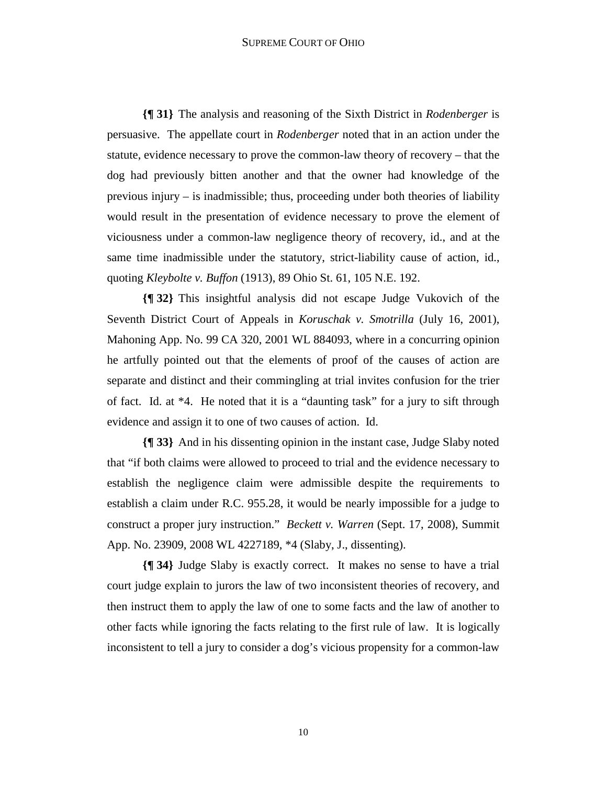## SUPREME COURT OF OHIO

**{¶ 31}** The analysis and reasoning of the Sixth District in *Rodenberger* is persuasive. The appellate court in *Rodenberger* noted that in an action under the statute, evidence necessary to prove the common-law theory of recovery – that the dog had previously bitten another and that the owner had knowledge of the previous injury – is inadmissible; thus, proceeding under both theories of liability would result in the presentation of evidence necessary to prove the element of viciousness under a common-law negligence theory of recovery, id., and at the same time inadmissible under the statutory, strict-liability cause of action, id., quoting *Kleybolte v. Buffon* (1913), 89 Ohio St. 61, 105 N.E. 192.

**{¶ 32}** This insightful analysis did not escape Judge Vukovich of the Seventh District Court of Appeals in *Koruschak v. Smotrilla* (July 16, 2001), Mahoning App. No. 99 CA 320, 2001 WL 884093, where in a concurring opinion he artfully pointed out that the elements of proof of the causes of action are separate and distinct and their commingling at trial invites confusion for the trier of fact. Id. at \*4. He noted that it is a "daunting task" for a jury to sift through evidence and assign it to one of two causes of action. Id.

**{¶ 33}** And in his dissenting opinion in the instant case, Judge Slaby noted that "if both claims were allowed to proceed to trial and the evidence necessary to establish the negligence claim were admissible despite the requirements to establish a claim under R.C. 955.28, it would be nearly impossible for a judge to construct a proper jury instruction." *Beckett v. Warren* (Sept. 17, 2008), Summit App. No. 23909, 2008 WL 4227189, \*4 (Slaby, J., dissenting).

**{¶ 34}** Judge Slaby is exactly correct. It makes no sense to have a trial court judge explain to jurors the law of two inconsistent theories of recovery, and then instruct them to apply the law of one to some facts and the law of another to other facts while ignoring the facts relating to the first rule of law. It is logically inconsistent to tell a jury to consider a dog's vicious propensity for a common-law